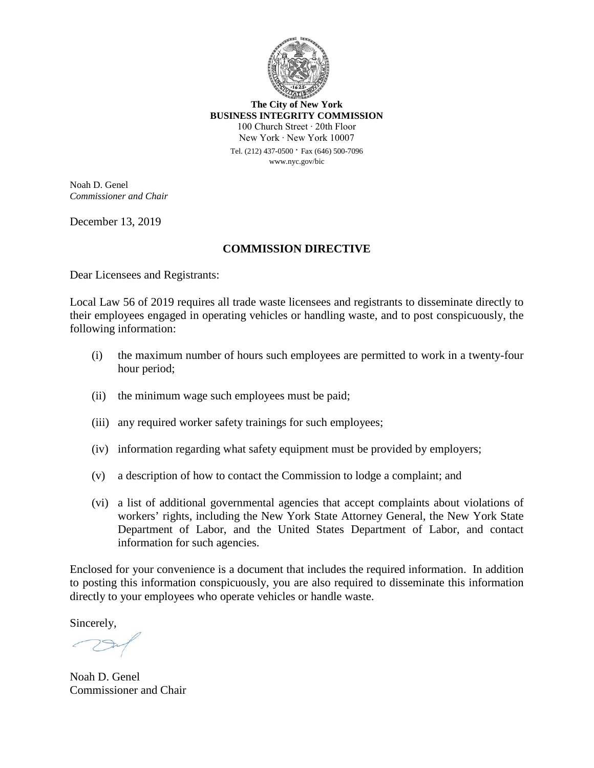

**The City of New York BUSINESS INTEGRITY COMMISSION** 100 Church Street ∙ 20th Floor New York ∙ New York 10007

Tel. (212) 437-0500 ∙ Fax (646) 500-7096 www.nyc.gov/bic

Noah D. Genel *Commissioner and Chair*

December 13, 2019

### **COMMISSION DIRECTIVE**

Dear Licensees and Registrants:

Local Law 56 of 2019 requires all trade waste licensees and registrants to disseminate directly to their employees engaged in operating vehicles or handling waste, and to post conspicuously, the following information:

- (i) the maximum number of hours such employees are permitted to work in a twenty-four hour period;
- (ii) the minimum wage such employees must be paid;
- (iii) any required worker safety trainings for such employees;
- (iv) information regarding what safety equipment must be provided by employers;
- (v) a description of how to contact the Commission to lodge a complaint; and
- (vi) a list of additional governmental agencies that accept complaints about violations of workers' rights, including the New York State Attorney General, the New York State Department of Labor, and the United States Department of Labor, and contact information for such agencies.

Enclosed for your convenience is a document that includes the required information. In addition to posting this information conspicuously, you are also required to disseminate this information directly to your employees who operate vehicles or handle waste.

Sincerely,

Noah D. Genel Commissioner and Chair